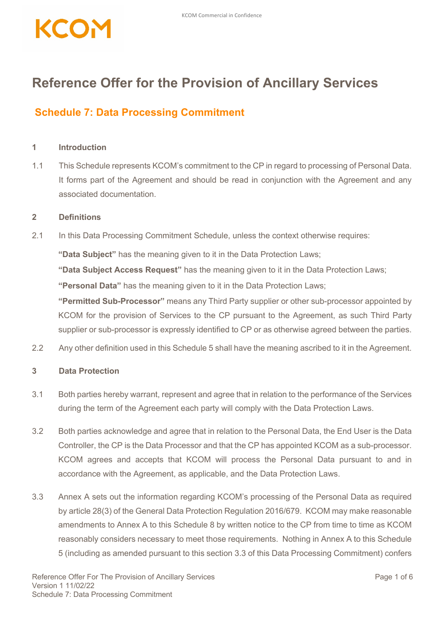## **Reference Offer for the Provision of Ancillary Services**

## **Schedule 7: Data Processing Commitment**

## **1 Introduction**

1.1 This Schedule represents KCOM's commitment to the CP in regard to processing of Personal Data. It forms part of the Agreement and should be read in conjunction with the Agreement and any associated documentation.

## **2 Definitions**

2.1 In this Data Processing Commitment Schedule, unless the context otherwise requires:

**"Data Subject"** has the meaning given to it in the Data Protection Laws;

**"Data Subject Access Request"** has the meaning given to it in the Data Protection Laws;

**"Personal Data"** has the meaning given to it in the Data Protection Laws;

**"Permitted Sub-Processor"** means any Third Party supplier or other sub-processor appointed by KCOM for the provision of Services to the CP pursuant to the Agreement, as such Third Party supplier or sub-processor is expressly identified to CP or as otherwise agreed between the parties.

2.2 Any other definition used in this Schedule 5 shall have the meaning ascribed to it in the Agreement.

## **3 Data Protection**

- 3.1 Both parties hereby warrant, represent and agree that in relation to the performance of the Services during the term of the Agreement each party will comply with the Data Protection Laws.
- 3.2 Both parties acknowledge and agree that in relation to the Personal Data, the End User is the Data Controller, the CP is the Data Processor and that the CP has appointed KCOM as a sub-processor. KCOM agrees and accepts that KCOM will process the Personal Data pursuant to and in accordance with the Agreement, as applicable, and the Data Protection Laws.
- 3.3 Annex A sets out the information regarding KCOM's processing of the Personal Data as required by article 28(3) of the General Data Protection Regulation 2016/679. KCOM may make reasonable amendments to Annex A to this Schedule 8 by written notice to the CP from time to time as KCOM reasonably considers necessary to meet those requirements. Nothing in Annex A to this Schedule 5 (including as amended pursuant to this section 3.3 of this Data Processing Commitment) confers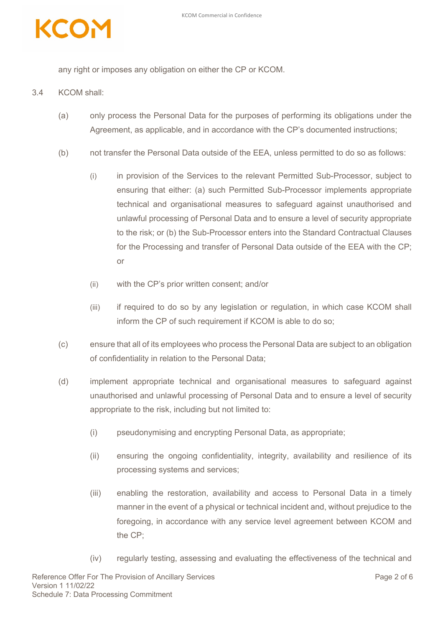

any right or imposes any obligation on either the CP or KCOM.

- 3.4 KCOM shall:
	- (a) only process the Personal Data for the purposes of performing its obligations under the Agreement, as applicable, and in accordance with the CP's documented instructions;
	- (b) not transfer the Personal Data outside of the EEA, unless permitted to do so as follows:
		- (i) in provision of the Services to the relevant Permitted Sub-Processor, subject to ensuring that either: (a) such Permitted Sub-Processor implements appropriate technical and organisational measures to safeguard against unauthorised and unlawful processing of Personal Data and to ensure a level of security appropriate to the risk; or (b) the Sub-Processor enters into the Standard Contractual Clauses for the Processing and transfer of Personal Data outside of the EEA with the CP; or
		- (ii) with the CP's prior written consent; and/or
		- (iii) if required to do so by any legislation or regulation, in which case KCOM shall inform the CP of such requirement if KCOM is able to do so;
	- (c) ensure that all of its employees who process the Personal Data are subject to an obligation of confidentiality in relation to the Personal Data;
	- (d) implement appropriate technical and organisational measures to safeguard against unauthorised and unlawful processing of Personal Data and to ensure a level of security appropriate to the risk, including but not limited to:
		- (i) pseudonymising and encrypting Personal Data, as appropriate;
		- (ii) ensuring the ongoing confidentiality, integrity, availability and resilience of its processing systems and services;
		- (iii) enabling the restoration, availability and access to Personal Data in a timely manner in the event of a physical or technical incident and, without prejudice to the foregoing, in accordance with any service level agreement between KCOM and the CP;
		- (iv) regularly testing, assessing and evaluating the effectiveness of the technical and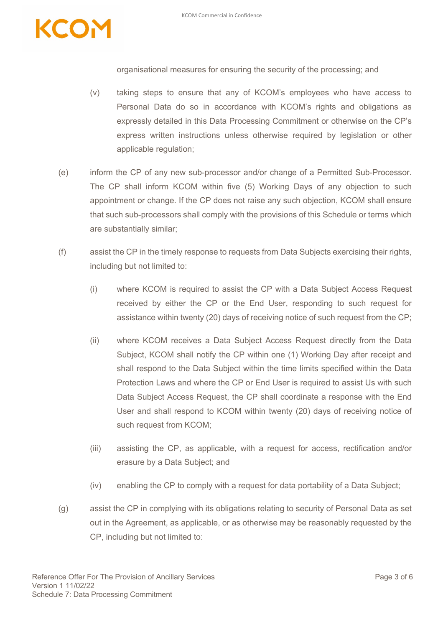

organisational measures for ensuring the security of the processing; and

- (v) taking steps to ensure that any of KCOM's employees who have access to Personal Data do so in accordance with KCOM's rights and obligations as expressly detailed in this Data Processing Commitment or otherwise on the CP's express written instructions unless otherwise required by legislation or other applicable regulation;
- (e) inform the CP of any new sub-processor and/or change of a Permitted Sub-Processor. The CP shall inform KCOM within five (5) Working Days of any objection to such appointment or change. If the CP does not raise any such objection, KCOM shall ensure that such sub-processors shall comply with the provisions of this Schedule or terms which are substantially similar;
- (f) assist the CP in the timely response to requests from Data Subjects exercising their rights, including but not limited to:
	- (i) where KCOM is required to assist the CP with a Data Subject Access Request received by either the CP or the End User, responding to such request for assistance within twenty (20) days of receiving notice of such request from the CP;
	- (ii) where KCOM receives a Data Subject Access Request directly from the Data Subject, KCOM shall notify the CP within one (1) Working Day after receipt and shall respond to the Data Subject within the time limits specified within the Data Protection Laws and where the CP or End User is required to assist Us with such Data Subject Access Request, the CP shall coordinate a response with the End User and shall respond to KCOM within twenty (20) days of receiving notice of such request from KCOM;
	- (iii) assisting the CP, as applicable, with a request for access, rectification and/or erasure by a Data Subject; and
	- (iv) enabling the CP to comply with a request for data portability of a Data Subject;
- (g) assist the CP in complying with its obligations relating to security of Personal Data as set out in the Agreement, as applicable, or as otherwise may be reasonably requested by the CP, including but not limited to: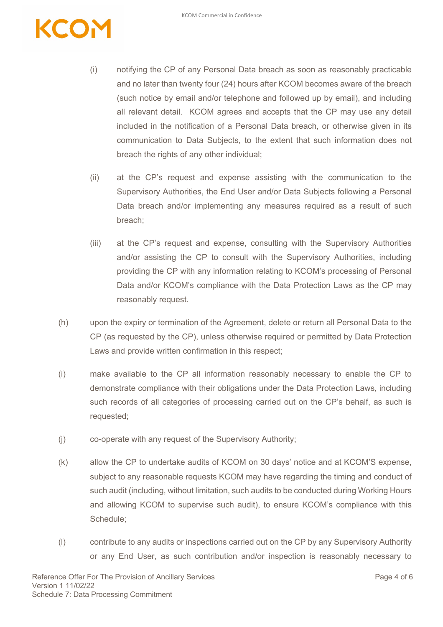- (i) notifying the CP of any Personal Data breach as soon as reasonably practicable and no later than twenty four (24) hours after KCOM becomes aware of the breach (such notice by email and/or telephone and followed up by email), and including all relevant detail. KCOM agrees and accepts that the CP may use any detail included in the notification of a Personal Data breach, or otherwise given in its communication to Data Subjects, to the extent that such information does not breach the rights of any other individual;
- (ii) at the CP's request and expense assisting with the communication to the Supervisory Authorities, the End User and/or Data Subjects following a Personal Data breach and/or implementing any measures required as a result of such breach;
- (iii) at the CP's request and expense, consulting with the Supervisory Authorities and/or assisting the CP to consult with the Supervisory Authorities, including providing the CP with any information relating to KCOM's processing of Personal Data and/or KCOM's compliance with the Data Protection Laws as the CP may reasonably request.
- (h) upon the expiry or termination of the Agreement, delete or return all Personal Data to the CP (as requested by the CP), unless otherwise required or permitted by Data Protection Laws and provide written confirmation in this respect;
- (i) make available to the CP all information reasonably necessary to enable the CP to demonstrate compliance with their obligations under the Data Protection Laws, including such records of all categories of processing carried out on the CP's behalf, as such is requested;
- (j) co-operate with any request of the Supervisory Authority;
- (k) allow the CP to undertake audits of KCOM on 30 days' notice and at KCOM'S expense, subject to any reasonable requests KCOM may have regarding the timing and conduct of such audit (including, without limitation, such audits to be conducted during Working Hours and allowing KCOM to supervise such audit), to ensure KCOM's compliance with this Schedule;
- (l) contribute to any audits or inspections carried out on the CP by any Supervisory Authority or any End User, as such contribution and/or inspection is reasonably necessary to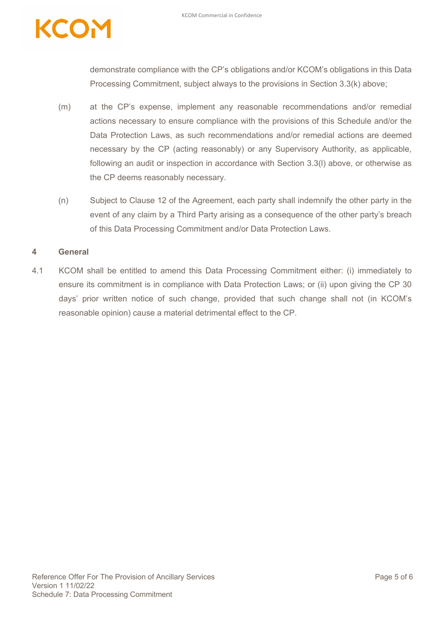demonstrate compliance with the CP's obligations and/or KCOM's obligations in this Data Processing Commitment, subject always to the provisions in Section 3.3(k) above;

- (m) at the CP's expense, implement any reasonable recommendations and/or remedial actions necessary to ensure compliance with the provisions of this Schedule and/or the Data Protection Laws, as such recommendations and/or remedial actions are deemed necessary by the CP (acting reasonably) or any Supervisory Authority, as applicable, following an audit or inspection in accordance with Section 3.3(l) above, or otherwise as the CP deems reasonably necessary.
- (n) Subject to Clause 12 of the Agreement, each party shall indemnify the other party in the event of any claim by a Third Party arising as a consequence of the other party's breach of this Data Processing Commitment and/or Data Protection Laws.

### **4 General**

4.1 KCOM shall be entitled to amend this Data Processing Commitment either: (i) immediately to ensure its commitment is in compliance with Data Protection Laws; or (ii) upon giving the CP 30 days' prior written notice of such change, provided that such change shall not (in KCOM's reasonable opinion) cause a material detrimental effect to the CP.